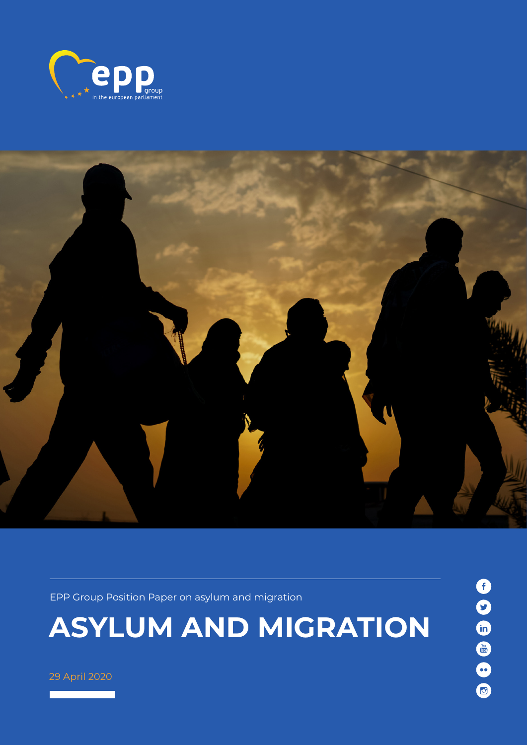



EPP Group Position Paper on asylum and migration

# **Asylum and migration**

29 April 2020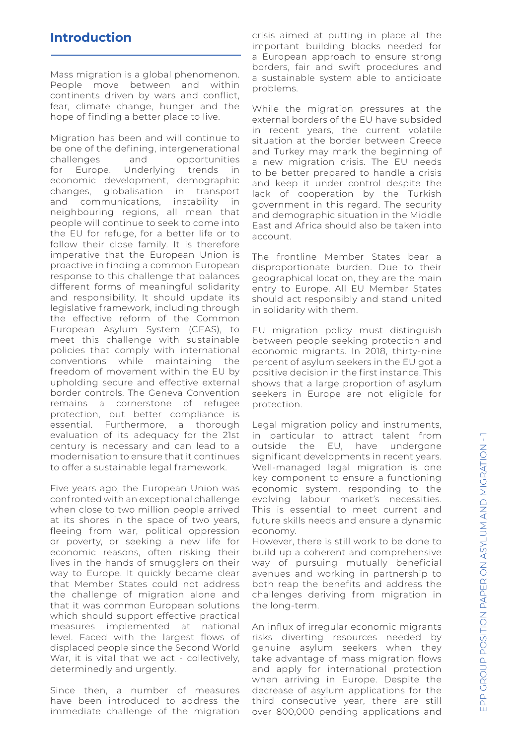#### **Introduction**

Mass migration is a global phenomenon. People move between and within continents driven by wars and conflict, fear, climate change, hunger and the hope of finding a better place to live.

Migration has been and will continue to be one of the defining, intergenerational challenges and opportunities for Europe. Underlying trends in economic development, demographic changes, globalisation in transport and communications, instability in neighbouring regions, all mean that people will continue to seek to come into the EU for refuge, for a better life or to follow their close family. It is therefore imperative that the European Union is proactive in finding a common European response to this challenge that balances different forms of meaningful solidarity and responsibility. It should update its legislative framework, including through the effective reform of the Common European Asylum System (CEAS), to meet this challenge with sustainable policies that comply with international conventions while maintaining the freedom of movement within the EU by upholding secure and effective external border controls. The Geneva Convention remains a cornerstone of refugee protection, but better compliance is essential. Furthermore, a thorough evaluation of its adequacy for the 21st century is necessary and can lead to a modernisation to ensure that it continues to offer a sustainable legal framework.

Five years ago, the European Union was confronted with an exceptional challenge when close to two million people arrived at its shores in the space of two years, fleeing from war, political oppression or poverty, or seeking a new life for economic reasons, often risking their lives in the hands of smugglers on their way to Europe. It quickly became clear that Member States could not address the challenge of migration alone and that it was common European solutions which should support effective practical measures implemented at national level. Faced with the largest flows of displaced people since the Second World War, it is vital that we act - collectively, determinedly and urgently.

Since then, a number of measures have been introduced to address the immediate challenge of the migration crisis aimed at putting in place all the important building blocks needed for a European approach to ensure strong borders, fair and swift procedures and a sustainable system able to anticipate problems.

While the migration pressures at the external borders of the EU have subsided in recent years, the current volatile situation at the border between Greece and Turkey may mark the beginning of a new migration crisis. The EU needs to be better prepared to handle a crisis and keep it under control despite the lack of cooperation by the Turkish government in this regard. The security and demographic situation in the Middle East and Africa should also be taken into account.

The frontline Member States bear a disproportionate burden. Due to their geographical location, they are the main entry to Europe. All EU Member States should act responsibly and stand united in solidarity with them.

EU migration policy must distinguish between people seeking protection and economic migrants. In 2018, thirty-nine percent of asylum seekers in the EU got a positive decision in the first instance. This shows that a large proportion of asylum seekers in Europe are not eligible for protection.

Legal migration policy and instruments, in particular to attract talent from outside the EU, have undergone significant developments in recent years. Well-managed legal migration is one key component to ensure a functioning economic system, responding to the evolving labour market's necessities. This is essential to meet current and future skills needs and ensure a dynamic economy.

However, there is still work to be done to build up a coherent and comprehensive way of pursuing mutually beneficial avenues and working in partnership to both reap the benefits and address the challenges deriving from migration in the long-term.

An influx of irregular economic migrants risks diverting resources needed by genuine asylum seekers when they take advantage of mass migration flows and apply for international protection when arriving in Europe. Despite the decrease of asylum applications for the third consecutive year, there are still over 800,000 pending applications and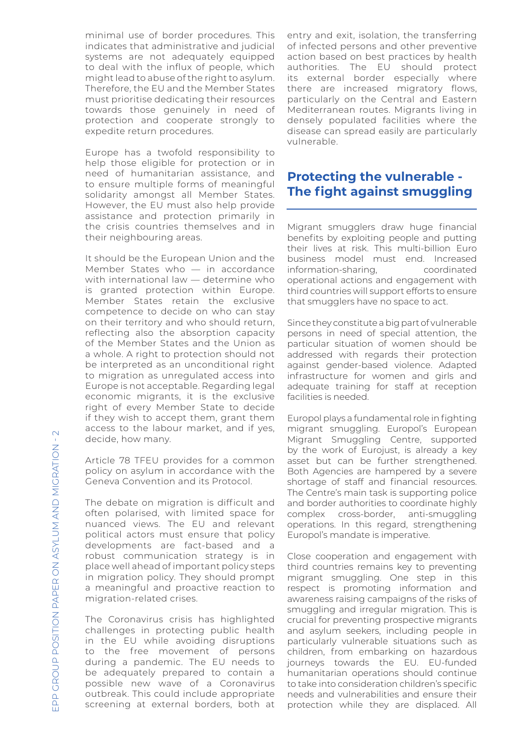minimal use of border procedures. This indicates that administrative and judicial systems are not adequately equipped to deal with the influx of people, which might lead to abuse of the right to asylum. Therefore, the EU and the Member States must prioritise dedicating their resources towards those genuinely in need of protection and cooperate strongly to expedite return procedures.

Europe has a twofold responsibility to help those eligible for protection or in need of humanitarian assistance, and to ensure multiple forms of meaningful solidarity amongst all Member States. However, the EU must also help provide assistance and protection primarily in the crisis countries themselves and in their neighbouring areas.

It should be the European Union and the Member States who — in accordance with international law — determine who is granted protection within Europe. Member States retain the exclusive competence to decide on who can stay on their territory and who should return, reflecting also the absorption capacity of the Member States and the Union as a whole. A right to protection should not be interpreted as an unconditional right to migration as unregulated access into Europe is not acceptable. Regarding legal economic migrants, it is the exclusive right of every Member State to decide if they wish to accept them, grant them access to the labour market, and if yes, decide, how many.

Article 78 TFEU provides for a common policy on asylum in accordance with the Geneva Convention and its Protocol.

The debate on migration is difficult and often polarised, with limited space for nuanced views. The EU and relevant political actors must ensure that policy developments are fact-based and a robust communication strategy is in place well ahead of important policy steps in migration policy. They should prompt a meaningful and proactive reaction to migration-related crises.

The Coronavirus crisis has highlighted challenges in protecting public health in the EU while avoiding disruptions to the free movement of persons during a pandemic. The EU needs to be adequately prepared to contain a possible new wave of a Coronavirus outbreak. This could include appropriate screening at external borders, both at

entry and exit, isolation, the transferring of infected persons and other preventive action based on best practices by health authorities. The EU should protect its external border especially where there are increased migratory flows, particularly on the Central and Eastern Mediterranean routes. Migrants living in densely populated facilities where the disease can spread easily are particularly vulnerable.

#### **Protecting the vulnerable - The fight against smuggling**

Migrant smugglers draw huge financial benefits by exploiting people and putting their lives at risk. This multi-billion Euro business model must end. Increased<br>information-sharing, coordinated information-sharing, operational actions and engagement with third countries will support efforts to ensure that smugglers have no space to act.

Since they constitute a big part of vulnerable persons in need of special attention, the particular situation of women should be addressed with regards their protection against gender-based violence. Adapted infrastructure for women and girls and adequate training for staff at reception facilities is needed.

Europol plays a fundamental role in fighting migrant smuggling. Europol's European Migrant Smuggling Centre, supported by the work of Eurojust, is already a key asset but can be further strengthened. Both Agencies are hampered by a severe shortage of staff and financial resources. The Centre's main task is supporting police and border authorities to coordinate highly complex cross-border, anti-smuggling operations. In this regard, strengthening Europol's mandate is imperative.

Close cooperation and engagement with third countries remains key to preventing migrant smuggling. One step in this respect is promoting information and awareness raising campaigns of the risks of smuggling and irregular migration. This is crucial for preventing prospective migrants and asylum seekers, including people in particularly vulnerable situations such as children, from embarking on hazardous journeys towards the EU. EU-funded humanitarian operations should continue to take into consideration children's specific needs and vulnerabilities and ensure their protection while they are displaced. All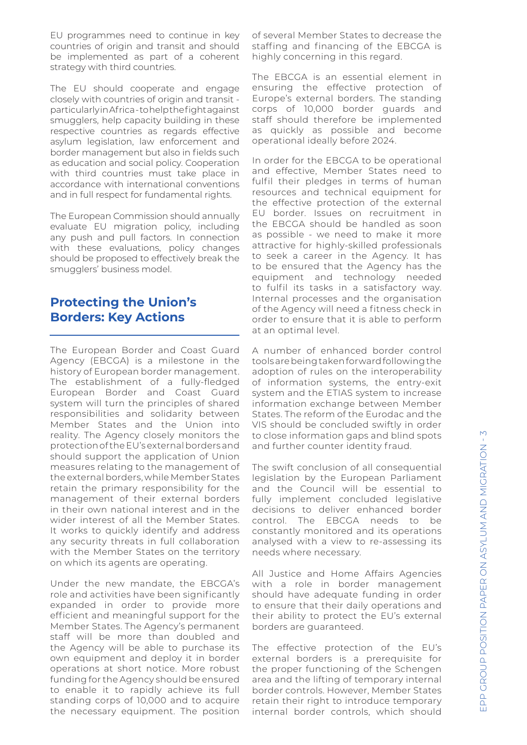EU programmes need to continue in key countries of origin and transit and should be implemented as part of a coherent strategy with third countries.

The EU should cooperate and engage closely with countries of origin and transit particularly in Africa - to help the fight against smugglers, help capacity building in these respective countries as regards effective asylum legislation, law enforcement and border management but also in fields such as education and social policy. Cooperation with third countries must take place in accordance with international conventions and in full respect for fundamental rights.

The European Commission should annually evaluate EU migration policy, including any push and pull factors. In connection with these evaluations, policy changes should be proposed to effectively break the smugglers' business model.

#### **Protecting the Union's Borders: Key Actions**

The European Border and Coast Guard Agency (EBCGA) is a milestone in the history of European border management. The establishment of a fully-fledged European Border and Coast Guard system will turn the principles of shared responsibilities and solidarity between Member States and the Union into reality. The Agency closely monitors the protection of the EU's external borders and should support the application of Union measures relating to the management of the external borders, while Member States retain the primary responsibility for the management of their external borders in their own national interest and in the wider interest of all the Member States. It works to quickly identify and address any security threats in full collaboration with the Member States on the territory on which its agents are operating.

Under the new mandate, the EBCGA's role and activities have been significantly expanded in order to provide more efficient and meaningful support for the Member States. The Agency's permanent staff will be more than doubled and the Agency will be able to purchase its own equipment and deploy it in border operations at short notice. More robust funding for the Agency should be ensured to enable it to rapidly achieve its full standing corps of 10,000 and to acquire the necessary equipment. The position of several Member States to decrease the staffing and financing of the EBCGA is highly concerning in this regard.

The EBCGA is an essential element in ensuring the effective protection of Europe's external borders. The standing corps of 10,000 border guards and staff should therefore be implemented as quickly as possible and become operational ideally before 2024.

In order for the EBCGA to be operational and effective, Member States need to fulfil their pledges in terms of human resources and technical equipment for the effective protection of the external EU border. Issues on recruitment in the EBCGA should be handled as soon as possible - we need to make it more attractive for highly-skilled professionals to seek a career in the Agency. It has to be ensured that the Agency has the equipment and technology needed to fulfil its tasks in a satisfactory way. Internal processes and the organisation of the Agency will need a fitness check in order to ensure that it is able to perform at an optimal level.

A number of enhanced border control tools are being taken forward following the adoption of rules on the interoperability of information systems, the entry-exit system and the ETIAS system to increase information exchange between Member States. The reform of the Eurodac and the VIS should be concluded swiftly in order to close information gaps and blind spots and further counter identity fraud.

The swift conclusion of all consequential legislation by the European Parliament and the Council will be essential to fully implement concluded legislative decisions to deliver enhanced border control. The EBCGA needs to be constantly monitored and its operations analysed with a view to re-assessing its needs where necessary.

All Justice and Home Affairs Agencies with a role in border management should have adequate funding in order to ensure that their daily operations and their ability to protect the EU's external borders are guaranteed.

The effective protection of the EU's external borders is a prerequisite for the proper functioning of the Schengen area and the lifting of temporary internal border controls. However, Member States retain their right to introduce temporary internal border controls, which should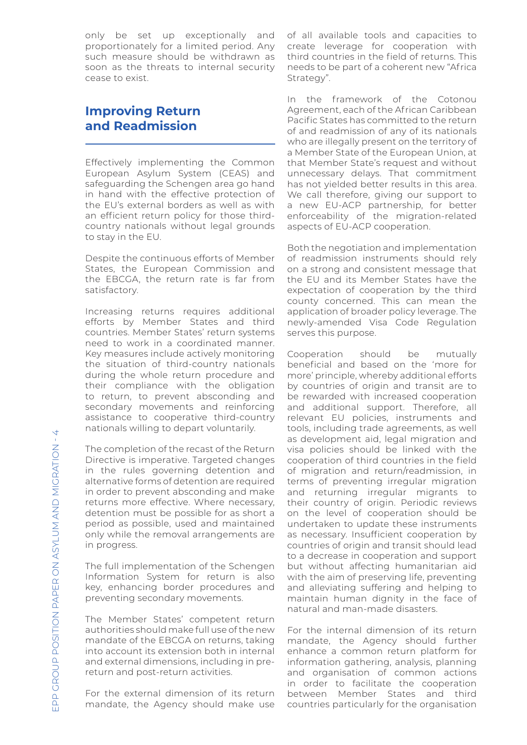only be set up exceptionally and proportionately for a limited period. Any such measure should be withdrawn as soon as the threats to internal security cease to exist.

## **Improving Return and Readmission**

Effectively implementing the Common European Asylum System (CEAS) and safeguarding the Schengen area go hand in hand with the effective protection of the EU's external borders as well as with an efficient return policy for those thirdcountry nationals without legal grounds to stay in the EU.

Despite the continuous efforts of Member States, the European Commission and the EBCGA, the return rate is far from satisfactory.

Increasing returns requires additional efforts by Member States and third countries. Member States' return systems need to work in a coordinated manner. Key measures include actively monitoring the situation of third-country nationals during the whole return procedure and their compliance with the obligation to return, to prevent absconding and secondary movements and reinforcing assistance to cooperative third-country nationals willing to depart voluntarily.

The completion of the recast of the Return Directive is imperative. Targeted changes in the rules governing detention and alternative forms of detention are required in order to prevent absconding and make returns more effective. Where necessary, detention must be possible for as short a period as possible, used and maintained only while the removal arrangements are in progress.

The full implementation of the Schengen Information System for return is also key, enhancing border procedures and preventing secondary movements.

The Member States' competent return authorities should make full use of the new mandate of the EBCGA on returns, taking into account its extension both in internal and external dimensions, including in prereturn and post-return activities.

For the external dimension of its return mandate, the Agency should make use of all available tools and capacities to create leverage for cooperation with third countries in the field of returns. This needs to be part of a coherent new "Africa Strategy".

In the framework of the Cotonou Agreement, each of the African Caribbean Pacific States has committed to the return of and readmission of any of its nationals who are illegally present on the territory of a Member State of the European Union, at that Member State's request and without unnecessary delays. That commitment has not yielded better results in this area. We call therefore, giving our support to a new EU-ACP partnership, for better enforceability of the migration-related aspects of EU-ACP cooperation.

Both the negotiation and implementation of readmission instruments should rely on a strong and consistent message that the EU and its Member States have the expectation of cooperation by the third county concerned. This can mean the application of broader policy leverage. The newly-amended Visa Code Regulation serves this purpose.

Cooperation should be mutually beneficial and based on the 'more for more' principle, whereby additional efforts by countries of origin and transit are to be rewarded with increased cooperation and additional support. Therefore, all relevant EU policies, instruments and tools, including trade agreements, as well as development aid, legal migration and visa policies should be linked with the cooperation of third countries in the field of migration and return/readmission, in terms of preventing irregular migration and returning irregular migrants to their country of origin. Periodic reviews on the level of cooperation should be undertaken to update these instruments as necessary. Insufficient cooperation by countries of origin and transit should lead to a decrease in cooperation and support but without affecting humanitarian aid with the aim of preserving life, preventing and alleviating suffering and helping to maintain human dignity in the face of natural and man-made disasters.

For the internal dimension of its return mandate, the Agency should further enhance a common return platform for information gathering, analysis, planning and organisation of common actions in order to facilitate the cooperation between Member States and third countries particularly for the organisation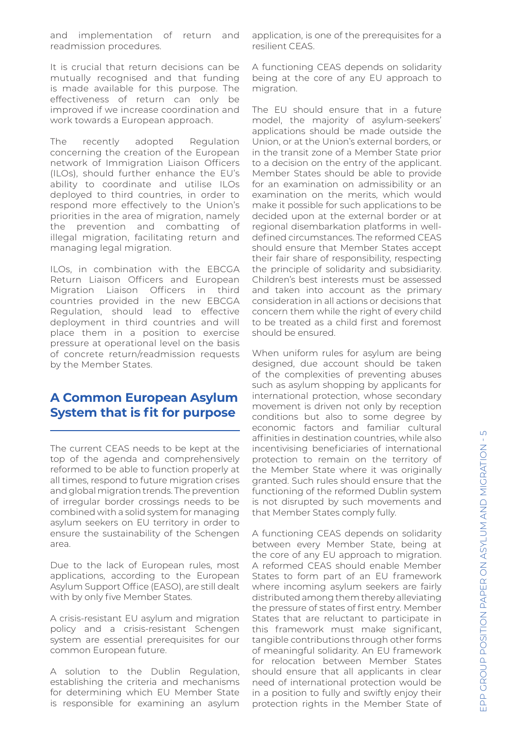and implementation of return and readmission procedures.

It is crucial that return decisions can be mutually recognised and that funding is made available for this purpose. The effectiveness of return can only be improved if we increase coordination and work towards a European approach.

The recently adopted Regulation concerning the creation of the European network of Immigration Liaison Officers (ILOs), should further enhance the EU's ability to coordinate and utilise ILOs deployed to third countries, in order to respond more effectively to the Union's priorities in the area of migration, namely the prevention and combatting of illegal migration, facilitating return and managing legal migration.

ILOs, in combination with the EBCGA Return Liaison Officers and European Migration Liaison Officers in third countries provided in the new EBCGA Regulation, should lead to effective deployment in third countries and will place them in a position to exercise pressure at operational level on the basis of concrete return/readmission requests by the Member States.

#### **A Common European Asylum System that is fit for purpose**

The current CEAS needs to be kept at the top of the agenda and comprehensively reformed to be able to function properly at all times, respond to future migration crises and global migration trends. The prevention of irregular border crossings needs to be combined with a solid system for managing asylum seekers on EU territory in order to ensure the sustainability of the Schengen area.

Due to the lack of European rules, most applications, according to the European Asylum Support Office (EASO), are still dealt with by only five Member States.

A crisis-resistant EU asylum and migration policy and a crisis-resistant Schengen system are essential prerequisites for our common European future.

A solution to the Dublin Regulation, establishing the criteria and mechanisms for determining which EU Member State is responsible for examining an asylum application, is one of the prerequisites for a resilient CEAS.

A functioning CEAS depends on solidarity being at the core of any EU approach to migration.

The EU should ensure that in a future model, the majority of asylum-seekers' applications should be made outside the Union, or at the Union's external borders, or in the transit zone of a Member State prior to a decision on the entry of the applicant. Member States should be able to provide for an examination on admissibility or an examination on the merits, which would make it possible for such applications to be decided upon at the external border or at regional disembarkation platforms in welldefined circumstances. The reformed CEAS should ensure that Member States accept their fair share of responsibility, respecting the principle of solidarity and subsidiarity. Children's best interests must be assessed and taken into account as the primary consideration in all actions or decisions that concern them while the right of every child to be treated as a child first and foremost should be ensured.

When uniform rules for asylum are being designed, due account should be taken of the complexities of preventing abuses such as asylum shopping by applicants for international protection, whose secondary movement is driven not only by reception conditions but also to some degree by economic factors and familiar cultural affinities in destination countries, while also incentivising beneficiaries of international protection to remain on the territory of the Member State where it was originally granted. Such rules should ensure that the functioning of the reformed Dublin system is not disrupted by such movements and that Member States comply fully.

A functioning CEAS depends on solidarity between every Member State, being at the core of any EU approach to migration. A reformed CEAS should enable Member States to form part of an EU framework where incoming asylum seekers are fairly distributed among them thereby alleviating the pressure of states of first entry. Member States that are reluctant to participate in this framework must make significant, tangible contributions through other forms of meaningful solidarity. An EU framework for relocation between Member States should ensure that all applicants in clear need of international protection would be in a position to fully and swiftly enjoy their protection rights in the Member State of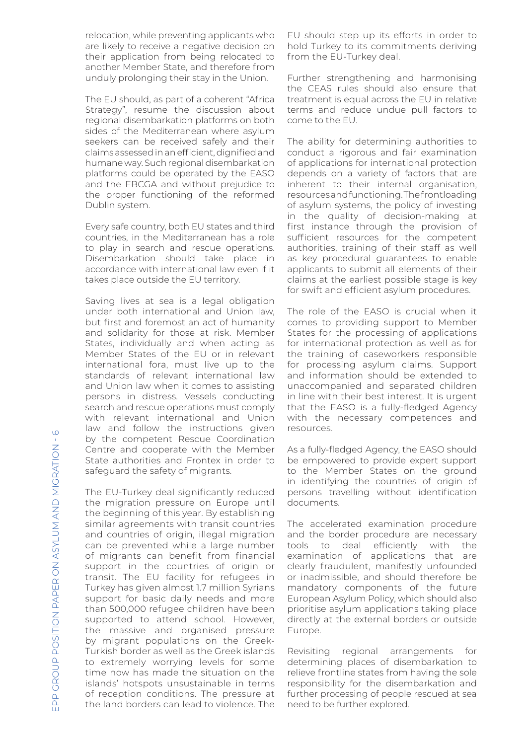relocation, while preventing applicants who are likely to receive a negative decision on their application from being relocated to another Member State, and therefore from unduly prolonging their stay in the Union.

The EU should, as part of a coherent "Africa Strategy", resume the discussion about regional disembarkation platforms on both sides of the Mediterranean where asylum seekers can be received safely and their claims assessed in an efficient, dignified and humane way. Such regional disembarkation platforms could be operated by the EASO and the EBCGA and without prejudice to the proper functioning of the reformed Dublin system.

Every safe country, both EU states and third countries, in the Mediterranean has a role to play in search and rescue operations. Disembarkation should take place in accordance with international law even if it takes place outside the EU territory.

Saving lives at sea is a legal obligation under both international and Union law, but first and foremost an act of humanity and solidarity for those at risk. Member States, individually and when acting as Member States of the EU or in relevant international fora, must live up to the standards of relevant international law and Union law when it comes to assisting persons in distress. Vessels conducting search and rescue operations must comply with relevant international and Union law and follow the instructions given by the competent Rescue Coordination Centre and cooperate with the Member State authorities and Frontex in order to safeguard the safety of migrants.

The EU-Turkey deal significantly reduced the migration pressure on Europe until the beginning of this year. By establishing similar agreements with transit countries and countries of origin, illegal migration can be prevented while a large number of migrants can benefit from financial support in the countries of origin or transit. The EU facility for refugees in Turkey has given almost 1.7 million Syrians support for basic daily needs and more than 500,000 refugee children have been supported to attend school. However, the massive and organised pressure by migrant populations on the Greek-Turkish border as well as the Greek islands to extremely worrying levels for some time now has made the situation on the islands' hotspots unsustainable in terms of reception conditions. The pressure at the land borders can lead to violence. The

EU should step up its efforts in order to hold Turkey to its commitments deriving from the EU-Turkey deal.

Further strengthening and harmonising the CEAS rules should also ensure that treatment is equal across the EU in relative terms and reduce undue pull factors to come to the EU.

The ability for determining authorities to conduct a rigorous and fair examination of applications for international protection depends on a variety of factors that are inherent to their internal organisation, resources and functioning. The frontloading of asylum systems, the policy of investing in the quality of decision-making at first instance through the provision of sufficient resources for the competent authorities, training of their staff as well as key procedural guarantees to enable applicants to submit all elements of their claims at the earliest possible stage is key for swift and efficient asylum procedures.

The role of the EASO is crucial when it comes to providing support to Member States for the processing of applications for international protection as well as for the training of caseworkers responsible for processing asylum claims. Support and information should be extended to unaccompanied and separated children in line with their best interest. It is urgent that the EASO is a fully-fledged Agency with the necessary competences and resources.

As a fully-fledged Agency, the EASO should be empowered to provide expert support to the Member States on the ground in identifying the countries of origin of persons travelling without identification documents.

The accelerated examination procedure and the border procedure are necessary tools to deal efficiently with the examination of applications that are clearly fraudulent, manifestly unfounded or inadmissible, and should therefore be mandatory components of the future European Asylum Policy, which should also prioritise asylum applications taking place directly at the external borders or outside Europe.

Revisiting regional arrangements for determining places of disembarkation to relieve frontline states from having the sole responsibility for the disembarkation and further processing of people rescued at sea need to be further explored.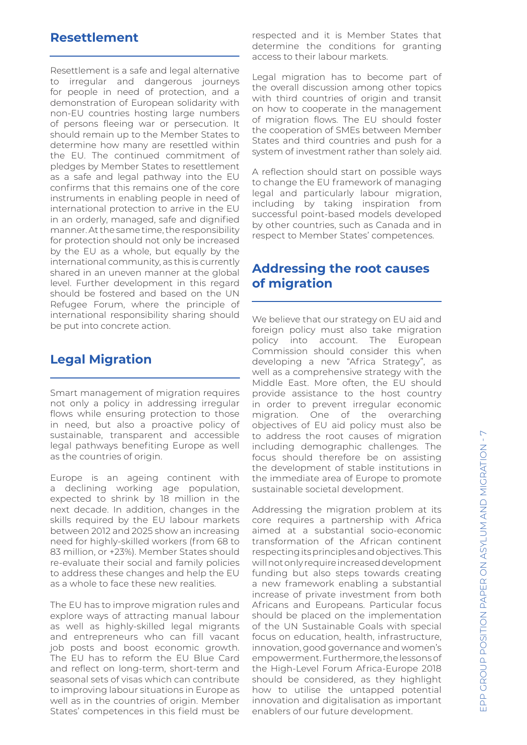#### **Resettlement**

Resettlement is a safe and legal alternative to irregular and dangerous journeys for people in need of protection, and a demonstration of European solidarity with non-EU countries hosting large numbers of persons fleeing war or persecution. It should remain up to the Member States to determine how many are resettled within the EU. The continued commitment of pledges by Member States to resettlement as a safe and legal pathway into the EU confirms that this remains one of the core instruments in enabling people in need of international protection to arrive in the EU in an orderly, managed, safe and dignified manner. At the same time, the responsibility for protection should not only be increased by the EU as a whole, but equally by the international community, as this is currently shared in an uneven manner at the global level. Further development in this regard should be fostered and based on the UN Refugee Forum, where the principle of international responsibility sharing should be put into concrete action.

### **Legal Migration**

Smart management of migration requires not only a policy in addressing irregular flows while ensuring protection to those in need, but also a proactive policy of sustainable, transparent and accessible legal pathways benefiting Europe as well as the countries of origin.

Europe is an ageing continent with a declining working age population, expected to shrink by 18 million in the next decade. In addition, changes in the skills required by the EU labour markets between 2012 and 2025 show an increasing need for highly-skilled workers (from 68 to 83 million, or +23%). Member States should re-evaluate their social and family policies to address these changes and help the EU as a whole to face these new realities.

The EU has to improve migration rules and explore ways of attracting manual labour as well as highly-skilled legal migrants and entrepreneurs who can fill vacant job posts and boost economic growth. The EU has to reform the EU Blue Card and reflect on long-term, short-term and seasonal sets of visas which can contribute to improving labour situations in Europe as well as in the countries of origin. Member States' competences in this field must be

respected and it is Member States that determine the conditions for granting access to their labour markets.

Legal migration has to become part of the overall discussion among other topics with third countries of origin and transit on how to cooperate in the management of migration flows. The EU should foster the cooperation of SMEs between Member States and third countries and push for a system of investment rather than solely aid.

A reflection should start on possible ways to change the EU framework of managing legal and particularly labour migration, including by taking inspiration from successful point-based models developed by other countries, such as Canada and in respect to Member States' competences.

#### **Addressing the root causes of migration**

We believe that our strategy on EU aid and foreign policy must also take migration policy into account. The European Commission should consider this when developing a new "Africa Strategy", as well as a comprehensive strategy with the Middle East. More often, the EU should provide assistance to the host country in order to prevent irregular economic migration. One of the overarching objectives of EU aid policy must also be to address the root causes of migration including demographic challenges. The focus should therefore be on assisting the development of stable institutions in the immediate area of Europe to promote sustainable societal development.

Addressing the migration problem at its core requires a partnership with Africa aimed at a substantial socio-economic transformation of the African continent respecting its principles and objectives. This will not only require increased development funding but also steps towards creating a new framework enabling a substantial increase of private investment from both Africans and Europeans. Particular focus should be placed on the implementation of the UN Sustainable Goals with special focus on education, health, infrastructure, innovation, good governance and women's empowerment. Furthermore, the lessons of the High-Level Forum Africa-Europe 2018 should be considered, as they highlight how to utilise the untapped potential innovation and digitalisation as important enablers of our future development.